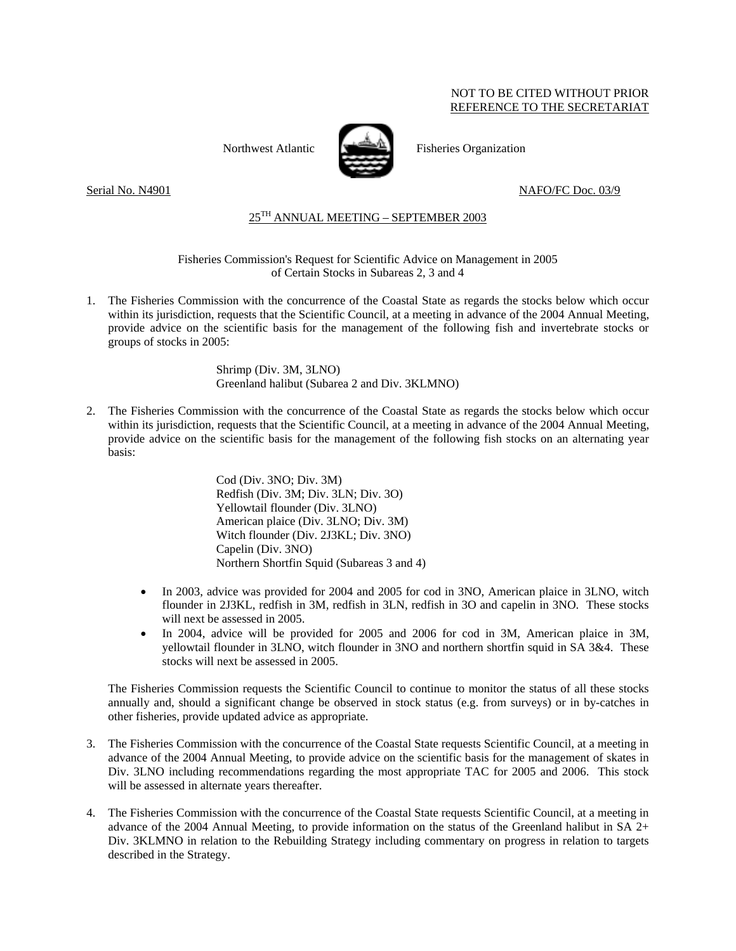## NOT TO BE CITED WITHOUT PRIOR REFERENCE TO THE SECRETARIAT



**Northwest Atlantic Northwest Atlantic Fisheries Organization** 

Serial No. N4901 NAFO/FC Doc. 03/9

## 25TH ANNUAL MEETING – SEPTEMBER 2003

Fisheries Commission's Request for Scientific Advice on Management in 2005 of Certain Stocks in Subareas 2, 3 and 4

1. The Fisheries Commission with the concurrence of the Coastal State as regards the stocks below which occur within its jurisdiction, requests that the Scientific Council, at a meeting in advance of the 2004 Annual Meeting, provide advice on the scientific basis for the management of the following fish and invertebrate stocks or groups of stocks in 2005:

> Shrimp (Div. 3M, 3LNO) Greenland halibut (Subarea 2 and Div. 3KLMNO)

2. The Fisheries Commission with the concurrence of the Coastal State as regards the stocks below which occur within its jurisdiction, requests that the Scientific Council, at a meeting in advance of the 2004 Annual Meeting, provide advice on the scientific basis for the management of the following fish stocks on an alternating year basis:

> Cod (Div. 3NO; Div. 3M) Redfish (Div. 3M; Div. 3LN; Div. 3O) Yellowtail flounder (Div. 3LNO) American plaice (Div. 3LNO; Div. 3M) Witch flounder (Div. 2J3KL; Div. 3NO) Capelin (Div. 3NO) Northern Shortfin Squid (Subareas 3 and 4)

- In 2003, advice was provided for 2004 and 2005 for cod in 3NO, American plaice in 3LNO, witch flounder in 2J3KL, redfish in 3M, redfish in 3LN, redfish in 3O and capelin in 3NO. These stocks will next be assessed in 2005.
- In 2004, advice will be provided for 2005 and 2006 for cod in 3M, American plaice in 3M, yellowtail flounder in 3LNO, witch flounder in 3NO and northern shortfin squid in SA 3&4. These stocks will next be assessed in 2005.

The Fisheries Commission requests the Scientific Council to continue to monitor the status of all these stocks annually and, should a significant change be observed in stock status (e.g. from surveys) or in by-catches in other fisheries, provide updated advice as appropriate.

- 3. The Fisheries Commission with the concurrence of the Coastal State requests Scientific Council, at a meeting in advance of the 2004 Annual Meeting, to provide advice on the scientific basis for the management of skates in Div. 3LNO including recommendations regarding the most appropriate TAC for 2005 and 2006. This stock will be assessed in alternate years thereafter.
- 4. The Fisheries Commission with the concurrence of the Coastal State requests Scientific Council, at a meeting in advance of the 2004 Annual Meeting, to provide information on the status of the Greenland halibut in SA 2+ Div. 3KLMNO in relation to the Rebuilding Strategy including commentary on progress in relation to targets described in the Strategy.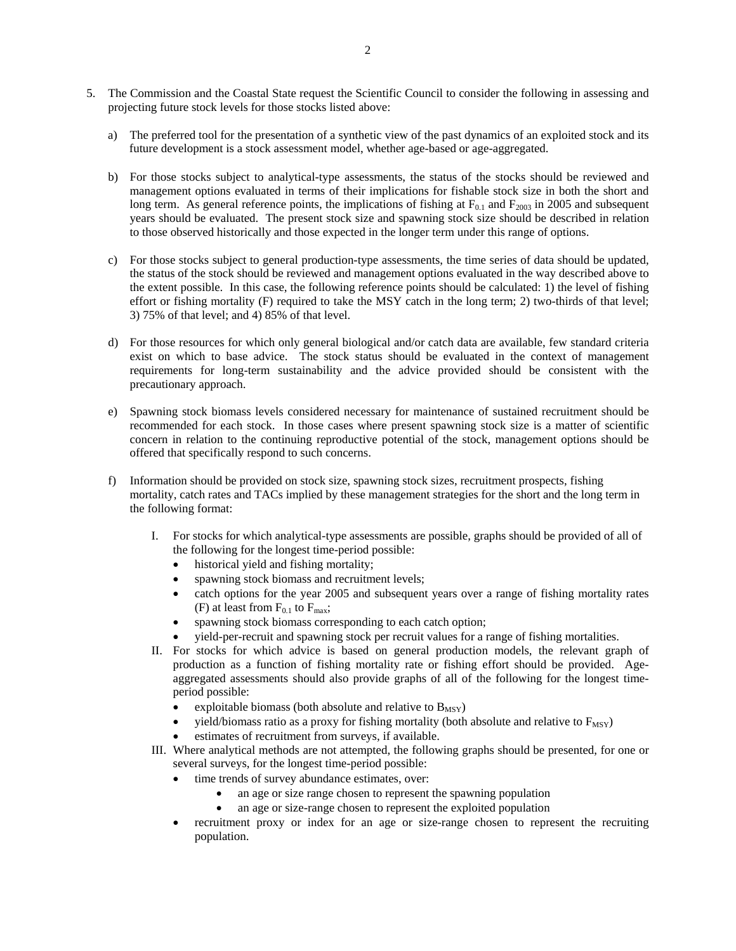- 5. The Commission and the Coastal State request the Scientific Council to consider the following in assessing and projecting future stock levels for those stocks listed above:
	- a) The preferred tool for the presentation of a synthetic view of the past dynamics of an exploited stock and its future development is a stock assessment model, whether age-based or age-aggregated.
	- b) For those stocks subject to analytical-type assessments, the status of the stocks should be reviewed and management options evaluated in terms of their implications for fishable stock size in both the short and long term. As general reference points, the implications of fishing at  $F_{0.1}$  and  $F_{2003}$  in 2005 and subsequent years should be evaluated. The present stock size and spawning stock size should be described in relation to those observed historically and those expected in the longer term under this range of options.
	- c) For those stocks subject to general production-type assessments, the time series of data should be updated, the status of the stock should be reviewed and management options evaluated in the way described above to the extent possible. In this case, the following reference points should be calculated: 1) the level of fishing effort or fishing mortality (F) required to take the MSY catch in the long term; 2) two-thirds of that level; 3) 75% of that level; and 4) 85% of that level.
	- d) For those resources for which only general biological and/or catch data are available, few standard criteria exist on which to base advice. The stock status should be evaluated in the context of management requirements for long-term sustainability and the advice provided should be consistent with the precautionary approach.
	- e) Spawning stock biomass levels considered necessary for maintenance of sustained recruitment should be recommended for each stock. In those cases where present spawning stock size is a matter of scientific concern in relation to the continuing reproductive potential of the stock, management options should be offered that specifically respond to such concerns.
	- f) Information should be provided on stock size, spawning stock sizes, recruitment prospects, fishing mortality, catch rates and TACs implied by these management strategies for the short and the long term in the following format:
		- I. For stocks for which analytical-type assessments are possible, graphs should be provided of all of the following for the longest time-period possible:
			- historical yield and fishing mortality;
			- spawning stock biomass and recruitment levels;
			- catch options for the year 2005 and subsequent years over a range of fishing mortality rates (F) at least from  $F_{0.1}$  to  $F_{\text{max}}$ ;
			- spawning stock biomass corresponding to each catch option;
			- yield-per-recruit and spawning stock per recruit values for a range of fishing mortalities.
		- II. For stocks for which advice is based on general production models, the relevant graph of production as a function of fishing mortality rate or fishing effort should be provided. Ageaggregated assessments should also provide graphs of all of the following for the longest timeperiod possible:
			- exploitable biomass (both absolute and relative to  $B_{MSY}$ )
			- yield/biomass ratio as a proxy for fishing mortality (both absolute and relative to  $F_{\text{MSY}}$ )
			- estimates of recruitment from surveys, if available.
		- III. Where analytical methods are not attempted, the following graphs should be presented, for one or several surveys, for the longest time-period possible:
			- time trends of survey abundance estimates, over:
				- an age or size range chosen to represent the spawning population
				- an age or size-range chosen to represent the exploited population
			- recruitment proxy or index for an age or size-range chosen to represent the recruiting population.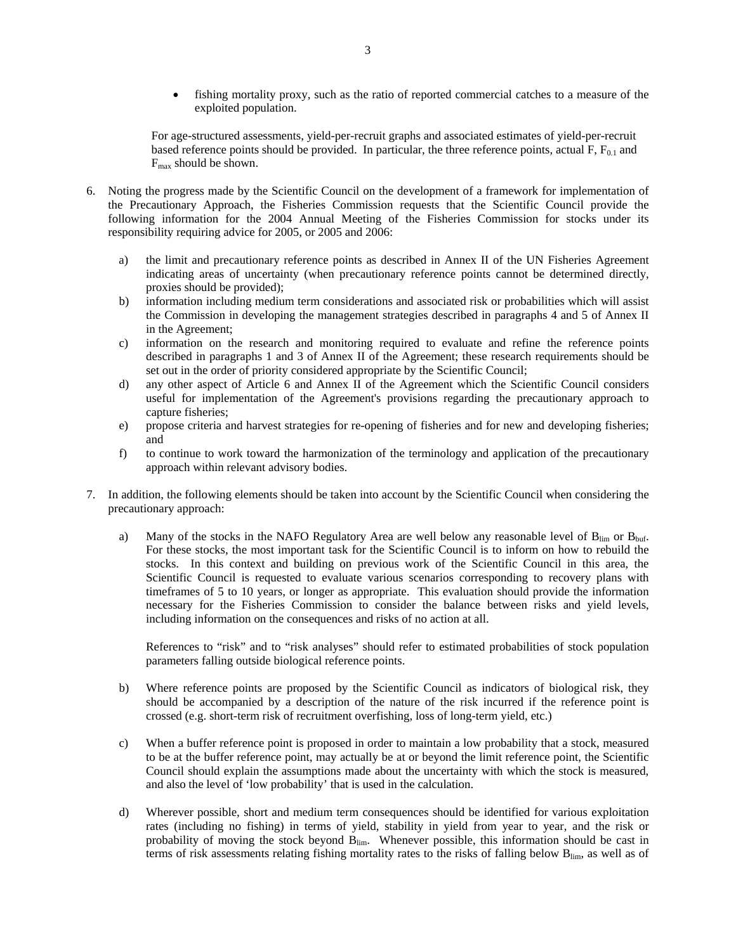• fishing mortality proxy, such as the ratio of reported commercial catches to a measure of the exploited population.

For age-structured assessments, yield-per-recruit graphs and associated estimates of yield-per-recruit based reference points should be provided. In particular, the three reference points, actual F,  $F_{0,1}$  and Fmax should be shown.

- 6. Noting the progress made by the Scientific Council on the development of a framework for implementation of the Precautionary Approach, the Fisheries Commission requests that the Scientific Council provide the following information for the 2004 Annual Meeting of the Fisheries Commission for stocks under its responsibility requiring advice for 2005, or 2005 and 2006:
	- a) the limit and precautionary reference points as described in Annex II of the UN Fisheries Agreement indicating areas of uncertainty (when precautionary reference points cannot be determined directly, proxies should be provided);
	- b) information including medium term considerations and associated risk or probabilities which will assist the Commission in developing the management strategies described in paragraphs 4 and 5 of Annex II in the Agreement;
	- c) information on the research and monitoring required to evaluate and refine the reference points described in paragraphs 1 and 3 of Annex II of the Agreement; these research requirements should be set out in the order of priority considered appropriate by the Scientific Council;
	- d) any other aspect of Article 6 and Annex II of the Agreement which the Scientific Council considers useful for implementation of the Agreement's provisions regarding the precautionary approach to capture fisheries;
	- e) propose criteria and harvest strategies for re-opening of fisheries and for new and developing fisheries; and
	- f) to continue to work toward the harmonization of the terminology and application of the precautionary approach within relevant advisory bodies.
- 7. In addition, the following elements should be taken into account by the Scientific Council when considering the precautionary approach:
	- a) Many of the stocks in the NAFO Regulatory Area are well below any reasonable level of  $B_{\text{lim}}$  or  $B_{\text{buf}}$ . For these stocks, the most important task for the Scientific Council is to inform on how to rebuild the stocks. In this context and building on previous work of the Scientific Council in this area, the Scientific Council is requested to evaluate various scenarios corresponding to recovery plans with timeframes of 5 to 10 years, or longer as appropriate. This evaluation should provide the information necessary for the Fisheries Commission to consider the balance between risks and yield levels, including information on the consequences and risks of no action at all.

References to "risk" and to "risk analyses" should refer to estimated probabilities of stock population parameters falling outside biological reference points.

- b) Where reference points are proposed by the Scientific Council as indicators of biological risk, they should be accompanied by a description of the nature of the risk incurred if the reference point is crossed (e.g. short-term risk of recruitment overfishing, loss of long-term yield, etc.)
- c) When a buffer reference point is proposed in order to maintain a low probability that a stock, measured to be at the buffer reference point, may actually be at or beyond the limit reference point, the Scientific Council should explain the assumptions made about the uncertainty with which the stock is measured, and also the level of 'low probability' that is used in the calculation.
- d) Wherever possible, short and medium term consequences should be identified for various exploitation rates (including no fishing) in terms of yield, stability in yield from year to year, and the risk or probability of moving the stock beyond  $B_{\text{lim}}$ . Whenever possible, this information should be cast in terms of risk assessments relating fishing mortality rates to the risks of falling below Blim, as well as of